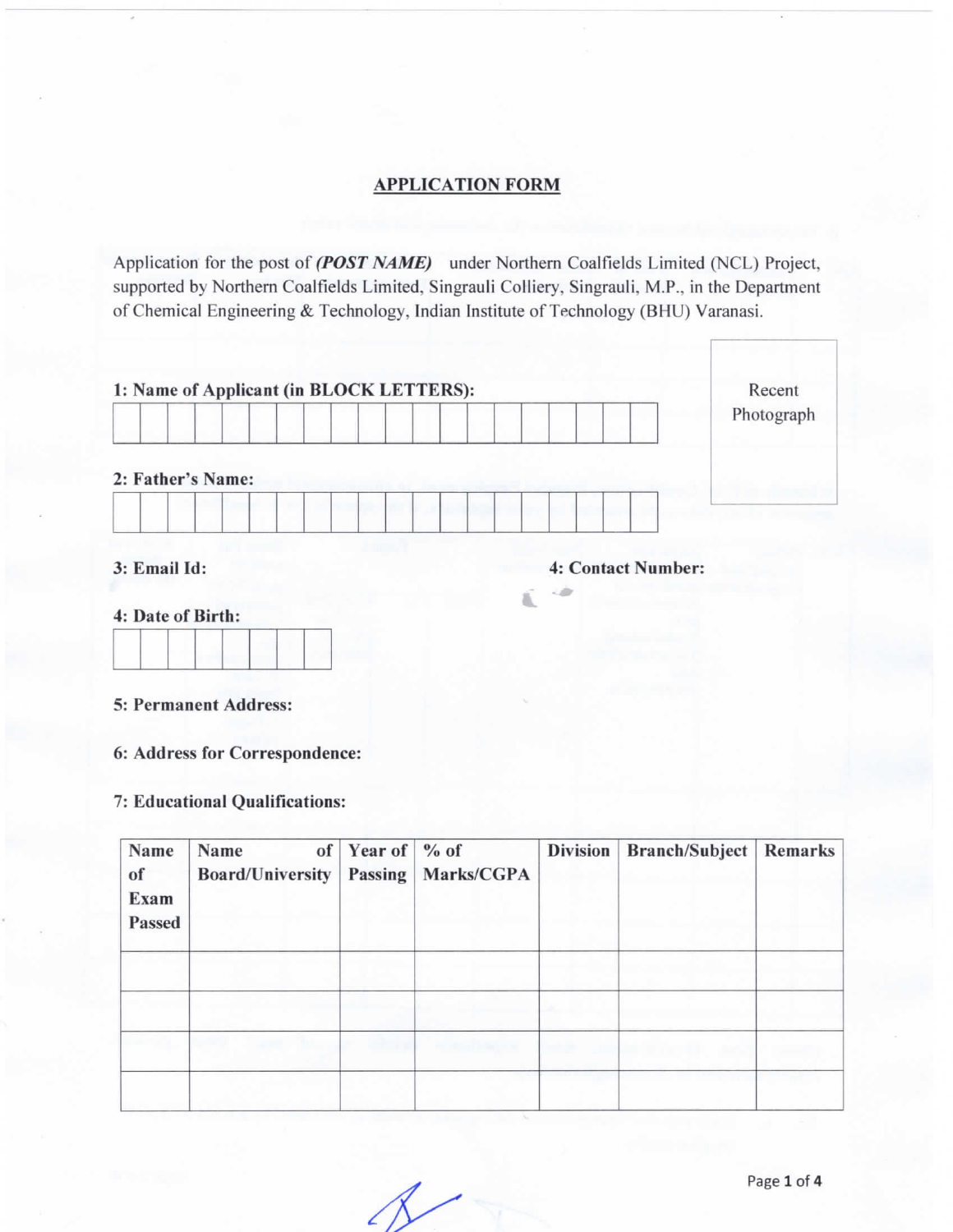# **APPLICATION FORM**

Application for the post of (POST NAME) under Northern Coalfields Limited (NCL) Project, supported by Northern Coalfields Limited, Singrauli Colliery, Singrauli, M.P., in the Department of Chemical Engineering & Technology, Indian Institute of Technology (BHU) Varanasi.

|                   |  |  |  |  |  |  | Photograph |
|-------------------|--|--|--|--|--|--|------------|
| 2: Father's Name: |  |  |  |  |  |  |            |

-:3

### 4: Date of Birth:

#### 5: Permanent Address:

6: Address for Correspondence:

## 7: Educational Qualifications:

| Name<br>of<br><b>Exam</b><br>Passed | Name<br>Board/University | of Year of $%$ Year of $\frac{1}{2}$ | Passing   Marks/CGPA | <b>Division</b> | Branch/Subject | Remarks |
|-------------------------------------|--------------------------|--------------------------------------|----------------------|-----------------|----------------|---------|
|                                     |                          |                                      |                      |                 |                |         |
|                                     |                          |                                      |                      |                 |                |         |
|                                     |                          |                                      |                      |                 |                |         |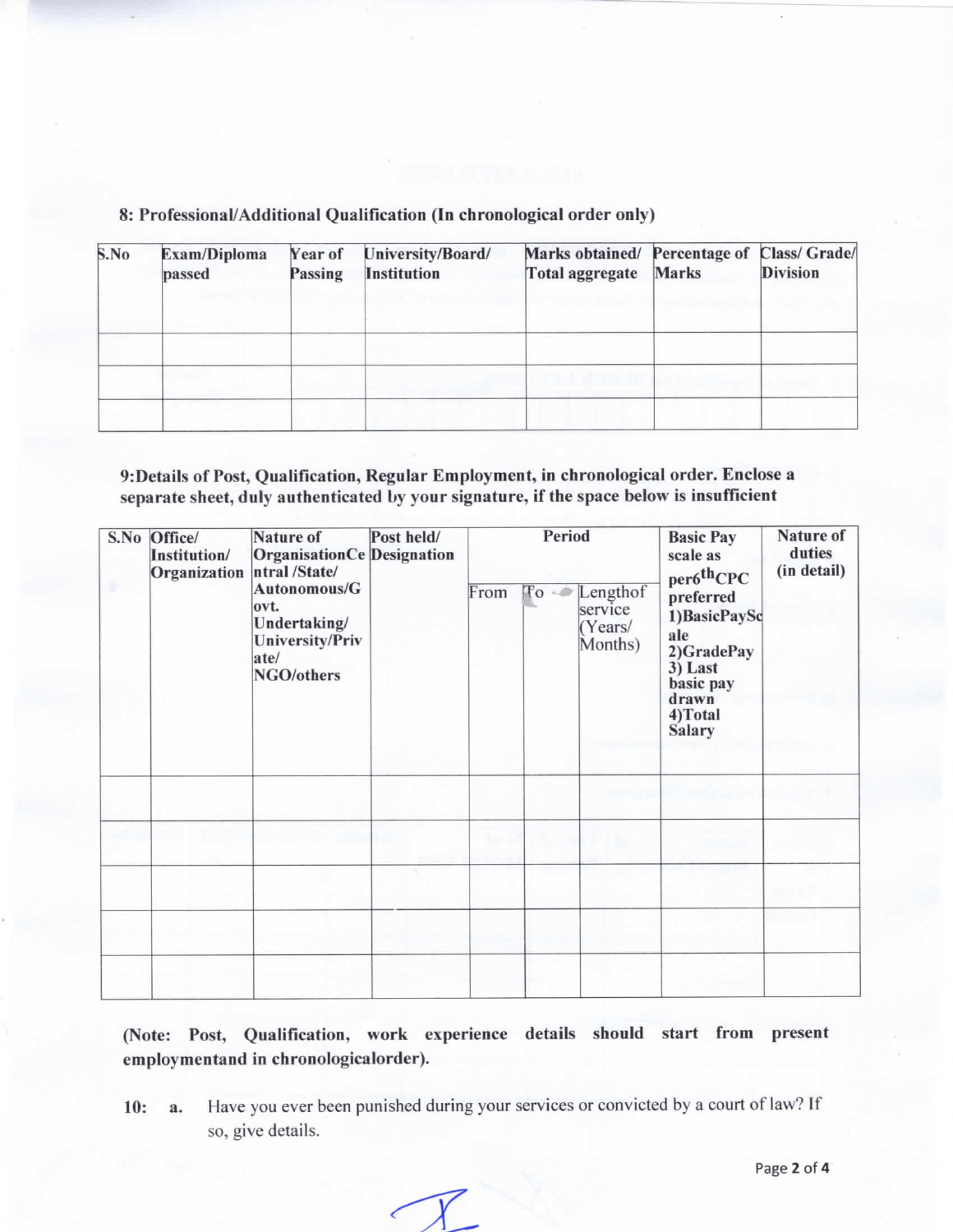8: Professional/Additional Qualification (In chronological order only)

| S.No | Exam/Diploma<br>passed | Year of<br>Passing | University/Board/<br><b>Institution</b> | Marks obtained/ Percentage of<br>Total aggregate | Marks | Class/ Grade/<br><b>Division</b> |
|------|------------------------|--------------------|-----------------------------------------|--------------------------------------------------|-------|----------------------------------|
|      |                        |                    |                                         |                                                  |       |                                  |
|      |                        |                    |                                         |                                                  |       |                                  |

9: Details of Post, Qualification, Regular Employment, in chronological order. Enclose a separate sheet, duly authenticated by your signature, if the space below is insufficient

| S.No Office/<br>Institution/<br>Organization | Nature of<br><b>OrganisationCe Designation</b><br>ntral/State/<br>Autonomous/G<br>ovt.<br>Undertaking/<br><b>University/Priv</b><br>ate/<br>NGO/others | Post held/ | From | Period<br>$\mathbb{T}^0$ | Lengthof<br>service<br>(Years/<br>Months) | <b>Basic Pay</b><br>scale as<br>per6 <sup>th</sup> CPC<br>preferred<br>1) BasicPaySc<br>ale<br>2)GradePay<br>3) Last<br>basic pay<br>drawn<br>4)Total<br><b>Salary</b> | Nature of<br>duties<br>(in detail) |
|----------------------------------------------|--------------------------------------------------------------------------------------------------------------------------------------------------------|------------|------|--------------------------|-------------------------------------------|------------------------------------------------------------------------------------------------------------------------------------------------------------------------|------------------------------------|
|                                              |                                                                                                                                                        |            |      |                          |                                           |                                                                                                                                                                        |                                    |
|                                              |                                                                                                                                                        |            |      |                          |                                           |                                                                                                                                                                        |                                    |
|                                              |                                                                                                                                                        |            |      |                          |                                           |                                                                                                                                                                        |                                    |
|                                              |                                                                                                                                                        |            |      |                          |                                           |                                                                                                                                                                        |                                    |
|                                              |                                                                                                                                                        |            |      |                          |                                           |                                                                                                                                                                        |                                    |

(Note: Post, Qualification, work experience details should start from present employmentand in chronologicalorder).

Have you ever been punished during your services or convicted by a court of law? If  $10:$ a. so, give details.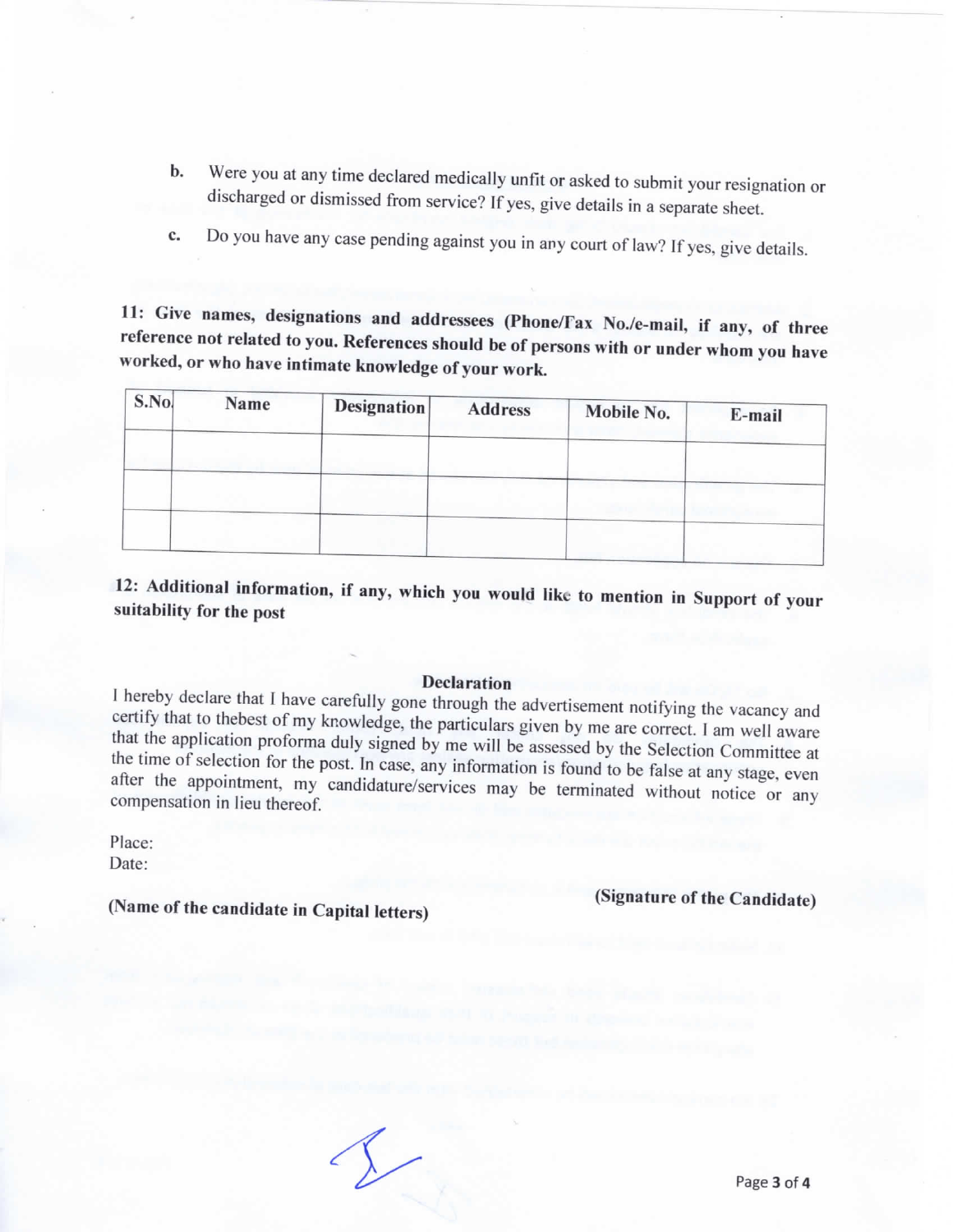- b. Were you at any time declared medically unfit or asked to submit your resignation or discharged or dismissed from service? If yes, give details in a separate sheet.
- c. Do you have any case pending against you in any court of law? If yes, give details.

11: Give names, designations and addressees (Phone/Fax No./e-mail, if any, of three reference not related to you. References should be of persons with or under whom you have worked, or who have intimate knowledge of your work.

| S.No | Name | <b>Designation</b> | Address | Mobile No. | E-mail |
|------|------|--------------------|---------|------------|--------|
|      |      |                    |         |            |        |
|      |      |                    |         |            |        |
|      |      |                    |         |            |        |
|      |      |                    |         |            |        |

12: Additional information, if any, which you would like to mention in Support of your suitability for the post

#### Declaration

I hereby declare that I have carefully gone through the advertisement notifying the vacancy and certify that to thebest of my knowledge, the particulars given by me are correct. I am well aware that the application proforma duly signed by me will be assessed by the Selection Committee at the time of selection for the post. In case, any information is found to be false at any stage, even after the appointment, my candidature/services may be terminated without notice or any compensation in lieu thereof.

place: Date:

(Name of the candidate in Capital letters)

(Signature of the Candidate)

 $\Lambda$